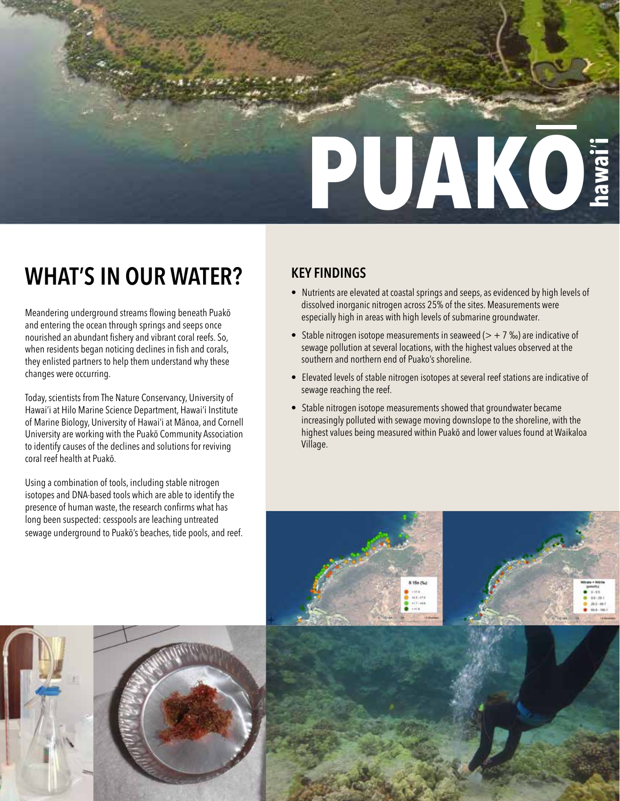

# **WHAT'S IN OUR WATER?**

Meandering underground streams flowing beneath Puakō and entering the ocean through springs and seeps once nourished an abundant fishery and vibrant coral reefs. So, when residents began noticing declines in fish and corals, they enlisted partners to help them understand why these changes were occurring.

Today, scientists from The Nature Conservancy, University of Hawai'i at Hilo Marine Science Department, Hawai'i Institute of Marine Biology, University of Hawai'i at Mānoa, and Cornell University are working with the Puakō Community Association to identify causes of the declines and solutions for reviving coral reef health at Puakō.

Using a combination of tools, including stable nitrogen isotopes and DNA-based tools which are able to identify the presence of human waste, the research confirms what has long been suspected: cesspools are leaching untreated sewage underground to Puakō's beaches, tide pools, and reef.

## **KEY FINDINGS**

- Nutrients are elevated at coastal springs and seeps, as evidenced by high levels of dissolved inorganic nitrogen across 25% of the sites. Measurements were especially high in areas with high levels of submarine groundwater.
- Stable nitrogen isotope measurements in seaweed  $(> + 7 \%)$  are indicative of sewage pollution at several locations, with the highest values observed at the southern and northern end of Puako's shoreline.
- Elevated levels of stable nitrogen isotopes at several reef stations are indicative of sewage reaching the reef.
- Stable nitrogen isotope measurements showed that groundwater became increasingly polluted with sewage moving downslope to the shoreline, with the highest values being measured within Puakō and lower values found at Waikaloa Village.